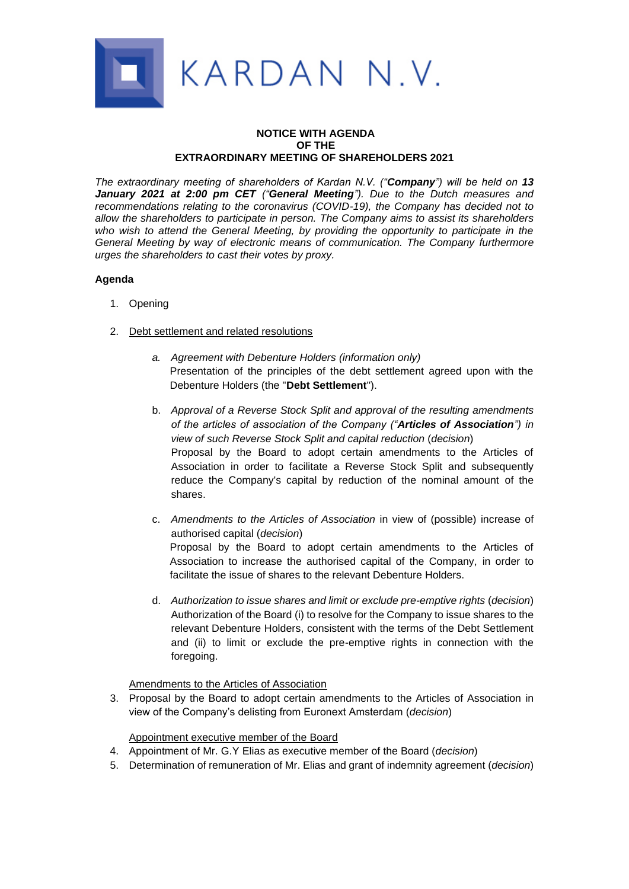

# **NOTICE WITH AGENDA OF THE EXTRAORDINARY MEETING OF SHAREHOLDERS 2021**

*The extraordinary meeting of shareholders of Kardan N.V. ("Company") will be held on 13 January 2021 at 2:00 pm CET ("General Meeting"). Due to the Dutch measures and recommendations relating to the coronavirus (COVID-19), the Company has decided not to allow the shareholders to participate in person. The Company aims to assist its shareholders who wish to attend the General Meeting, by providing the opportunity to participate in the General Meeting by way of electronic means of communication. The Company furthermore urges the shareholders to cast their votes by proxy.*

# **Agenda**

- 1. Opening
- 2. Debt settlement and related resolutions
	- *a. Agreement with Debenture Holders (information only)* Presentation of the principles of the debt settlement agreed upon with the Debenture Holders (the "**Debt Settlement**").
	- b. *Approval of a Reverse Stock Split and approval of the resulting amendments of the articles of association of the Company ("Articles of Association") in view of such Reverse Stock Split and capital reduction* (*decision*) Proposal by the Board to adopt certain amendments to the Articles of Association in order to facilitate a Reverse Stock Split and subsequently reduce the Company's capital by reduction of the nominal amount of the shares.

c. *Amendments to the Articles of Association* in view of (possible) increase of authorised capital (*decision*) Proposal by the Board to adopt certain amendments to the Articles of Association to increase the authorised capital of the Company, in order to facilitate the issue of shares to the relevant Debenture Holders.

d. *Authorization to issue shares and limit or exclude pre-emptive rights* (*decision*) Authorization of the Board (i) to resolve for the Company to issue shares to the relevant Debenture Holders, consistent with the terms of the Debt Settlement and (ii) to limit or exclude the pre-emptive rights in connection with the foregoing.

Amendments to the Articles of Association

3. Proposal by the Board to adopt certain amendments to the Articles of Association in view of the Company's delisting from Euronext Amsterdam (*decision*)

# Appointment executive member of the Board

- 4. Appointment of Mr. G.Y Elias as executive member of the Board (*decision*)
- 5. Determination of remuneration of Mr. Elias and grant of indemnity agreement (*decision*)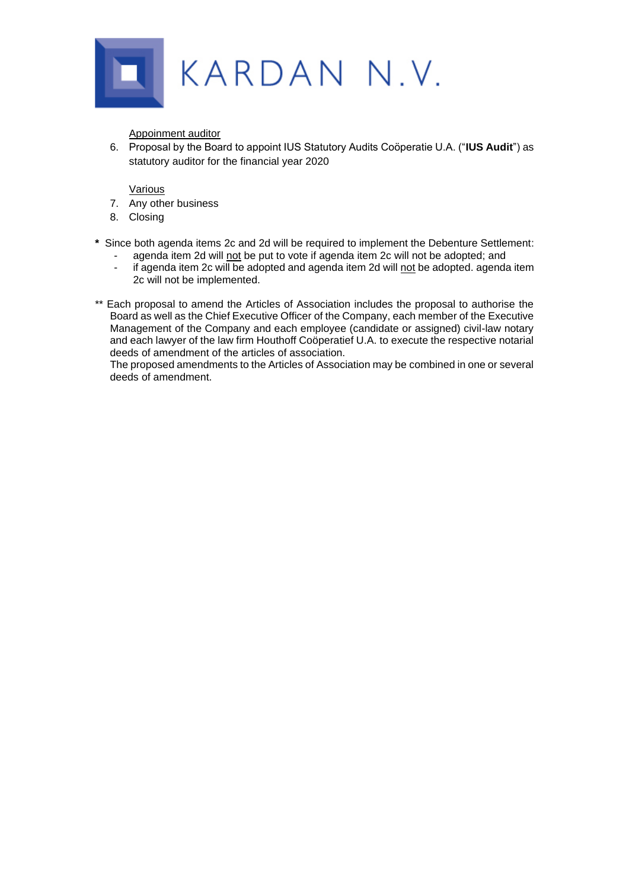

Appoinment auditor

6. Proposal by the Board to appoint IUS Statutory Audits Coöperatie U.A. ("**IUS Audit**") as statutory auditor for the financial year 2020

Various

- 7. Any other business
- 8. Closing
- **\*** Since both agenda items 2c and 2d will be required to implement the Debenture Settlement:
	- agenda item 2d will not be put to vote if agenda item 2c will not be adopted; and
	- if agenda item 2c will be adopted and agenda item 2d will not be adopted. agenda item 2c will not be implemented.
- \*\* Each proposal to amend the Articles of Association includes the proposal to authorise the Board as well as the Chief Executive Officer of the Company, each member of the Executive Management of the Company and each employee (candidate or assigned) civil-law notary and each lawyer of the law firm Houthoff Coöperatief U.A. to execute the respective notarial deeds of amendment of the articles of association.

The proposed amendments to the Articles of Association may be combined in one or several deeds of amendment.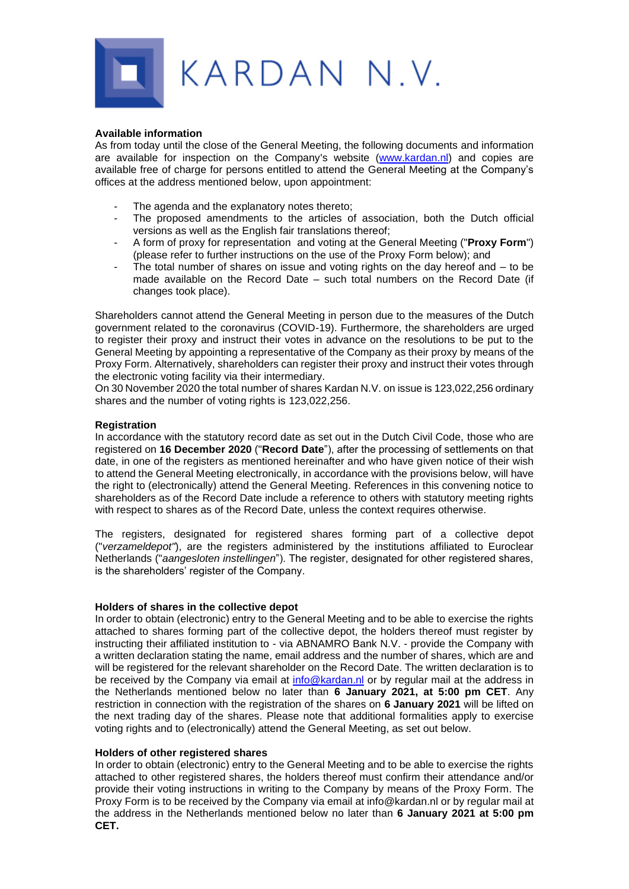

### **Available information**

As from today until the close of the General Meeting, the following documents and information are available for inspection on the Company's website [\(www.kardan.nl\)](http://www.kardan.nl/) and copies are available free of charge for persons entitled to attend the General Meeting at the Company's offices at the address mentioned below, upon appointment:

- The agenda and the explanatory notes thereto;
- The proposed amendments to the articles of association, both the Dutch official versions as well as the English fair translations thereof;
- A form of proxy for representation and voting at the General Meeting ("**Proxy Form**") (please refer to further instructions on the use of the Proxy Form below); and
- The total number of shares on issue and voting rights on the day hereof and  $-$  to be made available on the Record Date – such total numbers on the Record Date (if changes took place).

Shareholders cannot attend the General Meeting in person due to the measures of the Dutch government related to the coronavirus (COVID-19). Furthermore, the shareholders are urged to register their proxy and instruct their votes in advance on the resolutions to be put to the General Meeting by appointing a representative of the Company as their proxy by means of the Proxy Form. Alternatively, shareholders can register their proxy and instruct their votes through the electronic voting facility via their intermediary.

On 30 November 2020 the total number of shares Kardan N.V. on issue is 123,022,256 ordinary shares and the number of voting rights is 123,022,256.

## **Registration**

In accordance with the statutory record date as set out in the Dutch Civil Code, those who are registered on **16 December 2020** ("**Record Date**"), after the processing of settlements on that date, in one of the registers as mentioned hereinafter and who have given notice of their wish to attend the General Meeting electronically, in accordance with the provisions below, will have the right to (electronically) attend the General Meeting. References in this convening notice to shareholders as of the Record Date include a reference to others with statutory meeting rights with respect to shares as of the Record Date, unless the context requires otherwise.

The registers, designated for registered shares forming part of a collective depot ("*verzameldepot"*), are the registers administered by the institutions affiliated to Euroclear Netherlands ("*aangesloten instellingen*"). The register, designated for other registered shares, is the shareholders' register of the Company.

## **Holders of shares in the collective depot**

In order to obtain (electronic) entry to the General Meeting and to be able to exercise the rights attached to shares forming part of the collective depot, the holders thereof must register by instructing their affiliated institution to - via ABNAMRO Bank N.V. - provide the Company with a written declaration stating the name, email address and the number of shares, which are and will be registered for the relevant shareholder on the Record Date. The written declaration is to be received by the Company via email at [info@kardan.nl](mailto:info@kardan.nl) or by regular mail at the address in the Netherlands mentioned below no later than **6 January 2021, at 5:00 pm CET**. Any restriction in connection with the registration of the shares on **6 January 2021** will be lifted on the next trading day of the shares. Please note that additional formalities apply to exercise voting rights and to (electronically) attend the General Meeting, as set out below.

## **Holders of other registered shares**

In order to obtain (electronic) entry to the General Meeting and to be able to exercise the rights attached to other registered shares, the holders thereof must confirm their attendance and/or provide their voting instructions in writing to the Company by means of the Proxy Form. The Proxy Form is to be received by the Company via email at info@kardan.nl or by regular mail at the address in the Netherlands mentioned below no later than **6 January 2021 at 5:00 pm CET.**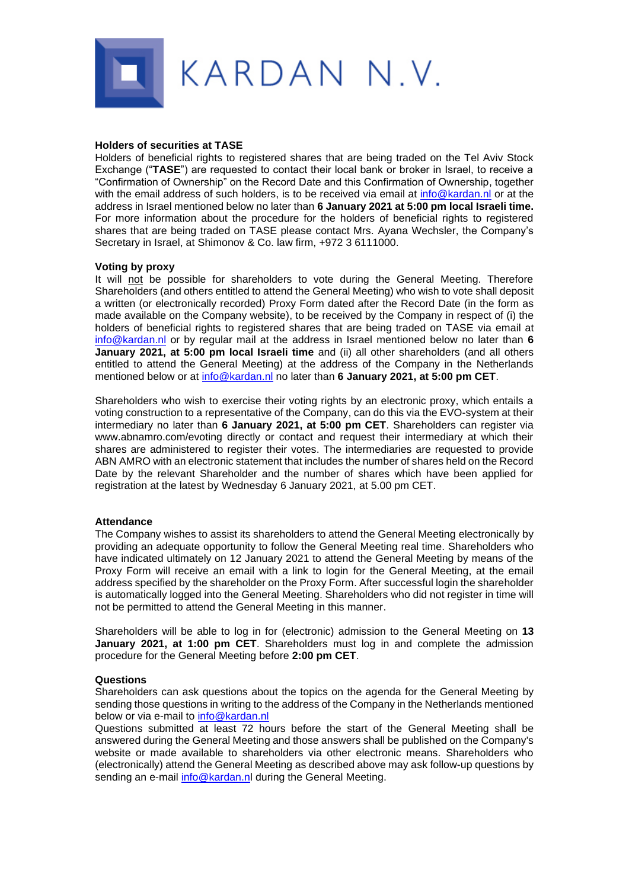

### **Holders of securities at TASE**

Holders of beneficial rights to registered shares that are being traded on the Tel Aviv Stock Exchange ("**TASE**") are requested to contact their local bank or broker in Israel, to receive a "Confirmation of Ownership" on the Record Date and this Confirmation of Ownership, together with the email address of such holders, is to be received via email at [info@kardan.nl](mailto:info@kardan.nl) or at the address in Israel mentioned below no later than **6 January 2021 at 5:00 pm local Israeli time.** For more information about the procedure for the holders of beneficial rights to registered shares that are being traded on TASE please contact Mrs. Ayana Wechsler, the Company's Secretary in Israel, at Shimonov & Co. law firm, +972 3 6111000.

#### **Voting by proxy**

It will not be possible for shareholders to vote during the General Meeting. Therefore Shareholders (and others entitled to attend the General Meeting) who wish to vote shall deposit a written (or electronically recorded) Proxy Form dated after the Record Date (in the form as made available on the Company website), to be received by the Company in respect of (i) the holders of beneficial rights to registered shares that are being traded on TASE via email at [info@kardan.nl](mailto:info@kardan.nl) or by regular mail at the address in Israel mentioned below no later than **6 January 2021, at 5:00 pm local Israeli time** and (ii) all other shareholders (and all others entitled to attend the General Meeting) at the address of the Company in the Netherlands mentioned below or at [info@kardan.nl](mailto:info@kardan.nl) no later than **6 January 2021, at 5:00 pm CET**.

Shareholders who wish to exercise their voting rights by an electronic proxy, which entails a voting construction to a representative of the Company, can do this via the EVO-system at their intermediary no later than **6 January 2021, at 5:00 pm CET**. Shareholders can register via www.abnamro.com/evoting directly or contact and request their intermediary at which their shares are administered to register their votes. The intermediaries are requested to provide ABN AMRO with an electronic statement that includes the number of shares held on the Record Date by the relevant Shareholder and the number of shares which have been applied for registration at the latest by Wednesday 6 January 2021, at 5.00 pm CET.

#### **Attendance**

The Company wishes to assist its shareholders to attend the General Meeting electronically by providing an adequate opportunity to follow the General Meeting real time. Shareholders who have indicated ultimately on 12 January 2021 to attend the General Meeting by means of the Proxy Form will receive an email with a link to login for the General Meeting, at the email address specified by the shareholder on the Proxy Form. After successful login the shareholder is automatically logged into the General Meeting. Shareholders who did not register in time will not be permitted to attend the General Meeting in this manner.

Shareholders will be able to log in for (electronic) admission to the General Meeting on **13 January 2021, at 1:00 pm CET**. Shareholders must log in and complete the admission procedure for the General Meeting before **2:00 pm CET**.

#### **Questions**

Shareholders can ask questions about the topics on the agenda for the General Meeting by sending those questions in writing to the address of the Company in the Netherlands mentioned below or via e-mail to [info@kardan.nl](mailto:info@kardan.nl)

Questions submitted at least 72 hours before the start of the General Meeting shall be answered during the General Meeting and those answers shall be published on the Company's website or made available to shareholders via other electronic means. Shareholders who (electronically) attend the General Meeting as described above may ask follow-up questions by sending an e-mail [info@kardan.nl](mailto:info@kardan.nl) during the General Meeting.